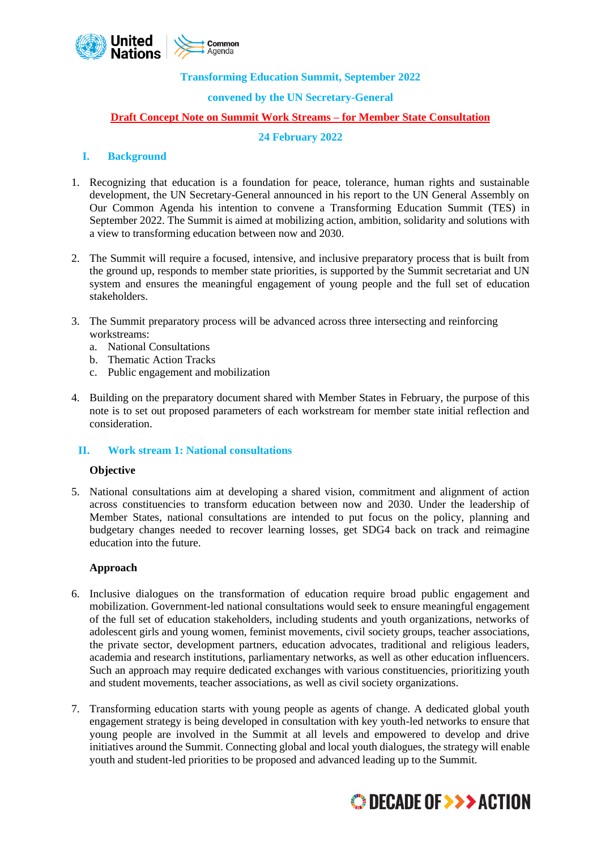

#### **Transforming Education Summit, September 2022**

#### **convened by the UN Secretary-General**

#### **Draft Concept Note on Summit Work Streams – for Member State Consultation**

## **24 February 2022**

#### **I. Background**

- 1. Recognizing that education is a foundation for peace, tolerance, human rights and sustainable development, the UN Secretary-General announced in his report to the UN General Assembly on Our Common Agenda his intention to convene a Transforming Education Summit (TES) in September 2022. The Summit is aimed at mobilizing action, ambition, solidarity and solutions with a view to transforming education between now and 2030.
- 2. The Summit will require a focused, intensive, and inclusive preparatory process that is built from the ground up, responds to member state priorities, is supported by the Summit secretariat and UN system and ensures the meaningful engagement of young people and the full set of education stakeholders.
- 3. The Summit preparatory process will be advanced across three intersecting and reinforcing workstreams:
	- a. National Consultations
	- b. Thematic Action Tracks
	- c. Public engagement and mobilization
- 4. Building on the preparatory document shared with Member States in February, the purpose of this note is to set out proposed parameters of each workstream for member state initial reflection and consideration.

#### **II. Work stream 1: National consultations**

#### **Objective**

5. National consultations aim at developing a shared vision, commitment and alignment of action across constituencies to transform education between now and 2030. Under the leadership of Member States, national consultations are intended to put focus on the policy, planning and budgetary changes needed to recover learning losses, get SDG4 back on track and reimagine education into the future.

#### **Approach**

- 6. Inclusive dialogues on the transformation of education require broad public engagement and mobilization. Government-led national consultations would seek to ensure meaningful engagement of the full set of education stakeholders, including students and youth organizations, networks of adolescent girls and young women, feminist movements, civil society groups, teacher associations, the private sector, development partners, education advocates, traditional and religious leaders, academia and research institutions, parliamentary networks, as well as other education influencers. Such an approach may require dedicated exchanges with various constituencies, prioritizing youth and student movements, teacher associations, as well as civil society organizations.
- 7. Transforming education starts with young people as agents of change. A dedicated global youth engagement strategy is being developed in consultation with key youth-led networks to ensure that young people are involved in the Summit at all levels and empowered to develop and drive initiatives around the Summit. Connecting global and local youth dialogues, the strategy will enable youth and student-led priorities to be proposed and advanced leading up to the Summit.

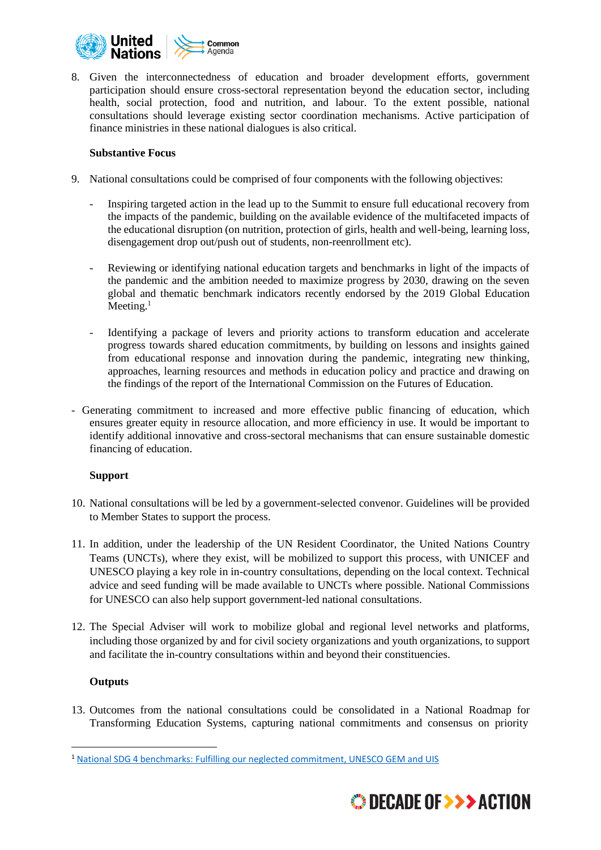

8. Given the interconnectedness of education and broader development efforts, government participation should ensure cross-sectoral representation beyond the education sector, including health, social protection, food and nutrition, and labour. To the extent possible, national consultations should leverage existing sector coordination mechanisms. Active participation of finance ministries in these national dialogues is also critical.

### **Substantive Focus**

- 9. National consultations could be comprised of four components with the following objectives:
	- Inspiring targeted action in the lead up to the Summit to ensure full educational recovery from the impacts of the pandemic, building on the available evidence of the multifaceted impacts of the educational disruption (on nutrition, protection of girls, health and well-being, learning loss, disengagement drop out/push out of students, non-reenrollment etc).
	- Reviewing or identifying national education targets and benchmarks in light of the impacts of the pandemic and the ambition needed to maximize progress by 2030, drawing on the seven global and thematic benchmark indicators recently endorsed by the 2019 Global Education Meeting. $1$
	- Identifying a package of levers and priority actions to transform education and accelerate progress towards shared education commitments, by building on lessons and insights gained from educational response and innovation during the pandemic, integrating new thinking, approaches, learning resources and methods in education policy and practice and drawing on the findings of the report of the International Commission on the Futures of Education.
- Generating commitment to increased and more effective public financing of education, which ensures greater equity in resource allocation, and more efficiency in use. It would be important to identify additional innovative and cross-sectoral mechanisms that can ensure sustainable domestic financing of education.

# **Support**

- 10. National consultations will be led by a government-selected convenor. Guidelines will be provided to Member States to support the process.
- 11. In addition, under the leadership of the UN Resident Coordinator, the United Nations Country Teams (UNCTs), where they exist, will be mobilized to support this process, with UNICEF and UNESCO playing a key role in in-country consultations, depending on the local context. Technical advice and seed funding will be made available to UNCTs where possible. National Commissions for UNESCO can also help support government-led national consultations.
- 12. The Special Adviser will work to mobilize global and regional level networks and platforms, including those organized by and for civil society organizations and youth organizations, to support and facilitate the in-country consultations within and beyond their constituencies.

# **Outputs**

13. Outcomes from the national consultations could be consolidated in a National Roadmap for Transforming Education Systems, capturing national commitments and consensus on priority

<sup>1</sup> National SDG 4 benchmarks: Fulfilling our neglected [commitment,](https://en.unesco.org/gem-report/node/3617) UNESCO GEM and UIS

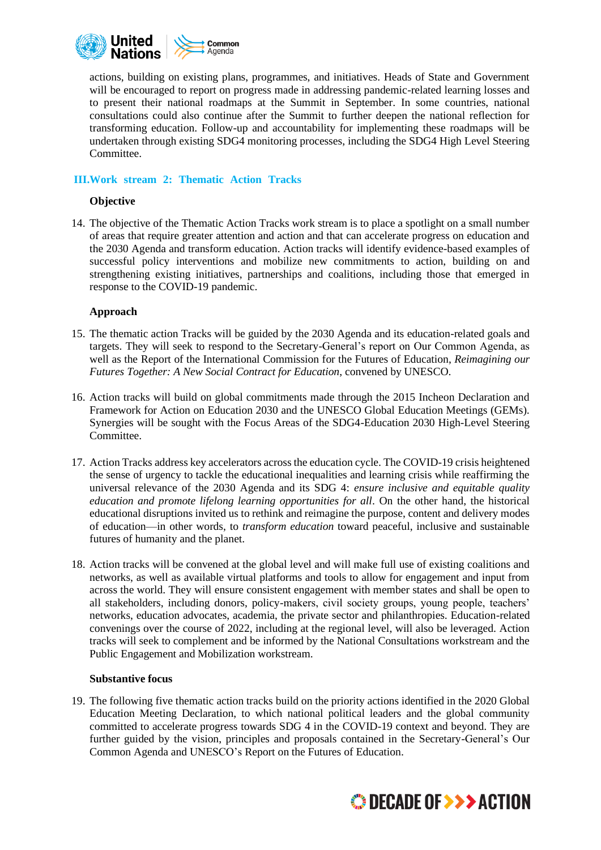

actions, building on existing plans, programmes, and initiatives. Heads of State and Government will be encouraged to report on progress made in addressing pandemic-related learning losses and to present their national roadmaps at the Summit in September. In some countries, national consultations could also continue after the Summit to further deepen the national reflection for transforming education. Follow-up and accountability for implementing these roadmaps will be undertaken through existing SDG4 monitoring processes, including the SDG4 High Level Steering Committee.

### **III.Work stream 2: Thematic Action Tracks**

#### **Objective**

14. The objective of the Thematic Action Tracks work stream is to place a spotlight on a small number of areas that require greater attention and action and that can accelerate progress on education and the 2030 Agenda and transform education. Action tracks will identify evidence-based examples of successful policy interventions and mobilize new commitments to action, building on and strengthening existing initiatives, partnerships and coalitions, including those that emerged in response to the COVID-19 pandemic.

#### **Approach**

- 15. The thematic action Tracks will be guided by the 2030 Agenda and its education-related goals and targets. They will seek to respond to the Secretary-General's report on Our Common Agenda, as well as the Report of the International Commission for the Futures of Education, *Reimagining our Futures Together: A New Social Contract for Education*, convened by UNESCO.
- 16. Action tracks will build on global commitments made through the 2015 Incheon Declaration and Framework for Action on Education 2030 and the UNESCO Global Education Meetings (GEMs). Synergies will be sought with the Focus Areas of the SDG4-Education 2030 High-Level Steering Committee.
- 17. Action Tracks address key accelerators across the education cycle. The COVID-19 crisis heightened the sense of urgency to tackle the educational inequalities and learning crisis while reaffirming the universal relevance of the 2030 Agenda and its SDG 4: *ensure inclusive and equitable quality education and promote lifelong learning opportunities for all*. On the other hand, the historical educational disruptions invited us to rethink and reimagine the purpose, content and delivery modes of education—in other words, to *transform education* toward peaceful, inclusive and sustainable futures of humanity and the planet.
- 18. Action tracks will be convened at the global level and will make full use of existing coalitions and networks, as well as available virtual platforms and tools to allow for engagement and input from across the world. They will ensure consistent engagement with member states and shall be open to all stakeholders, including donors, policy-makers, civil society groups, young people, teachers' networks, education advocates, academia, the private sector and philanthropies. Education-related convenings over the course of 2022, including at the regional level, will also be leveraged. Action tracks will seek to complement and be informed by the National Consultations workstream and the Public Engagement and Mobilization workstream.

#### **Substantive focus**

19. The following five thematic action tracks build on the priority actions identified in the 2020 Global Education Meeting Declaration, to which national political leaders and the global community committed to accelerate progress towards SDG 4 in the COVID-19 context and beyond. They are further guided by the vision, principles and proposals contained in the Secretary-General's Our Common Agenda and UNESCO's Report on the Futures of Education.

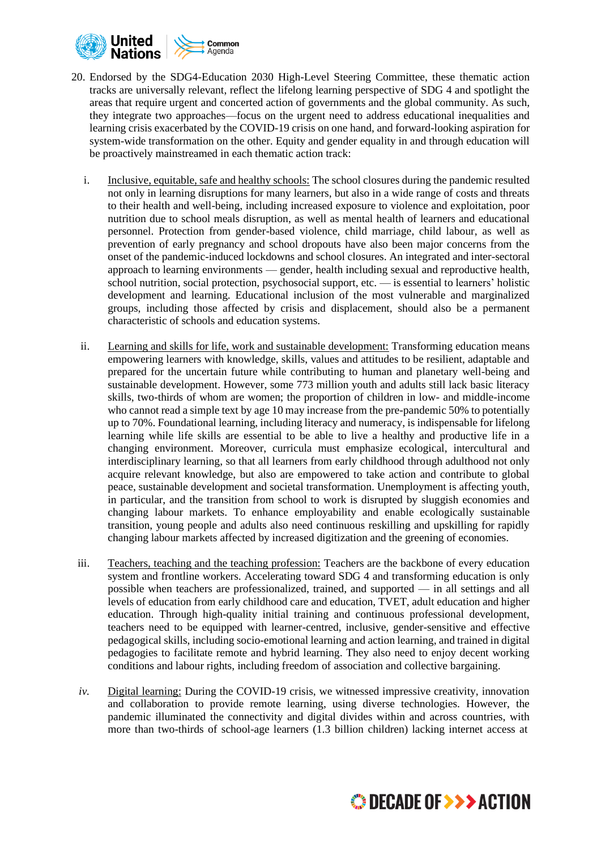

- 20. Endorsed by the SDG4-Education 2030 High-Level Steering Committee, these thematic action tracks are universally relevant, reflect the lifelong learning perspective of SDG 4 and spotlight the areas that require urgent and concerted action of governments and the global community. As such, they integrate two approaches—focus on the urgent need to address educational inequalities and learning crisis exacerbated by the COVID-19 crisis on one hand, and forward-looking aspiration for system-wide transformation on the other. Equity and gender equality in and through education will be proactively mainstreamed in each thematic action track:
	- i. Inclusive, equitable, safe and healthy schools: The school closures during the pandemic resulted not only in learning disruptions for many learners, but also in a wide range of costs and threats to their health and well-being, including increased exposure to violence and exploitation, poor nutrition due to school meals disruption, as well as mental health of learners and educational personnel. Protection from gender-based violence, child marriage, child labour, as well as prevention of early pregnancy and school dropouts have also been major concerns from the onset of the pandemic-induced lockdowns and school closures. An integrated and inter-sectoral approach to learning environments — gender, health including sexual and reproductive health, school nutrition, social protection, psychosocial support, etc. — is essential to learners' holistic development and learning. Educational inclusion of the most vulnerable and marginalized groups, including those affected by crisis and displacement, should also be a permanent characteristic of schools and education systems.
	- ii. Learning and skills for life, work and sustainable development: Transforming education means empowering learners with knowledge, skills, values and attitudes to be resilient, adaptable and prepared for the uncertain future while contributing to human and planetary well-being and sustainable development. However, some 773 million youth and adults still lack basic literacy skills, two-thirds of whom are women; the proportion of children in low- and middle-income who cannot read a simple text by age 10 may increase from the pre-pandemic 50% to potentially up to 70%. Foundational learning, including literacy and numeracy, is indispensable for lifelong learning while life skills are essential to be able to live a healthy and productive life in a changing environment. Moreover, curricula must emphasize ecological, intercultural and interdisciplinary learning, so that all learners from early childhood through adulthood not only acquire relevant knowledge, but also are empowered to take action and contribute to global peace, sustainable development and societal transformation. Unemployment is affecting youth, in particular, and the transition from school to work is disrupted by sluggish economies and changing labour markets. To enhance employability and enable ecologically sustainable transition, young people and adults also need continuous reskilling and upskilling for rapidly changing labour markets affected by increased digitization and the greening of economies.
	- iii. Teachers, teaching and the teaching profession: Teachers are the backbone of every education system and frontline workers. Accelerating toward SDG 4 and transforming education is only possible when teachers are professionalized, trained, and supported — in all settings and all levels of education from early childhood care and education, TVET, adult education and higher education. Through high-quality initial training and continuous professional development, teachers need to be equipped with learner-centred, inclusive, gender-sensitive and effective pedagogical skills, including socio-emotional learning and action learning, and trained in digital pedagogies to facilitate remote and hybrid learning. They also need to enjoy decent working conditions and labour rights, including freedom of association and collective bargaining.
	- *iv.* Digital learning: During the COVID-19 crisis, we witnessed impressive creativity, innovation and collaboration to provide remote learning, using diverse technologies. However, the pandemic illuminated the connectivity and digital divides within and across countries, with more than two-thirds of school-age learners (1.3 billion children) lacking internet access at

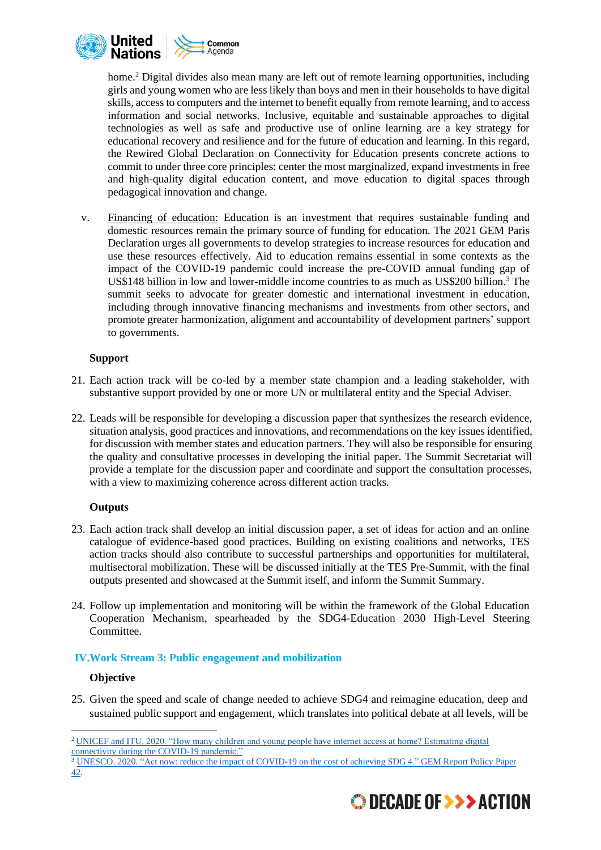

home.<sup>2</sup> Digital divides also mean many are left out of remote learning opportunities, including girls and young women who are less likely than boys and men in their households to have digital skills, accessto computers and the internet to benefit equally from remote learning, and to access information and social networks. Inclusive, equitable and sustainable approaches to digital technologies as well as safe and productive use of online learning are a key strategy for educational recovery and resilience and for the future of education and learning. In this regard, the Rewired Global Declaration on Connectivity for Education presents concrete actions to commit to under three core principles: center the most marginalized, expand investments in free and high-quality digital education content, and move education to digital spaces through pedagogical innovation and change.

v. Financing of education: Education is an investment that requires sustainable funding and domestic resources remain the primary source of funding for education. The 2021 GEM Paris Declaration urges all governments to develop strategies to increase resources for education and use these resources effectively. Aid to education remains essential in some contexts as the impact of the COVID-19 pandemic could increase the pre-COVID annual funding gap of US\$148 billion in low and lower-middle income countries to as much as US\$200 billion.<sup>3</sup> The summit seeks to advocate for greater domestic and international investment in education, including through innovative financing mechanisms and investments from other sectors, and promote greater harmonization, alignment and accountability of development partners' support to governments.

### **Support**

- 21. Each action track will be co-led by a member state champion and a leading stakeholder, with substantive support provided by one or more UN or multilateral entity and the Special Adviser.
- 22. Leads will be responsible for developing a discussion paper that synthesizes the research evidence, situation analysis, good practices and innovations, and recommendations on the key issues identified, for discussion with member states and education partners. They will also be responsible for ensuring the quality and consultative processes in developing the initial paper. The Summit Secretariat will provide a template for the discussion paper and coordinate and support the consultation processes, with a view to maximizing coherence across different action tracks.

# **Outputs**

- 23. Each action track shall develop an initial discussion paper, a set of ideas for action and an online catalogue of evidence-based good practices. Building on existing coalitions and networks, TES action tracks should also contribute to successful partnerships and opportunities for multilateral, multisectoral mobilization. These will be discussed initially at the TES Pre-Summit, with the final outputs presented and showcased at the Summit itself, and inform the Summit Summary.
- 24. Follow up implementation and monitoring will be within the framework of the Global Education Cooperation Mechanism, spearheaded by the SDG4-Education 2030 High-Level Steering Committee.

# **IV.Work Stream 3: Public engagement and mobilization**

#### **Objective**

25. Given the speed and scale of change needed to achieve SDG4 and reimagine education, deep and sustained public support and engagement, which translates into political debate at all levels, will be

<sup>3</sup> UNESCO. 2020. "Act now: reduce the impact of COVID-19 on the cost of achieving SDG 4." GEM Report Policy Paper 42.



<sup>&</sup>lt;sup>2</sup> [UNICEF and ITU. 2020. "How many children and young people have internet access at home? Estimating digital](https://www.itu.int/en/ITU-D/Statistics/Documents/publications/UNICEF/How-many-children-and-young-people-have-internet-access-at-home-2020_v2final.pdf) [connectivity](https://www.itu.int/en/ITU-D/Statistics/Documents/publications/UNICEF/How-many-children-and-young-people-have-internet-access-at-home-2020_v2final.pdf) during the COVID-19 pandemic."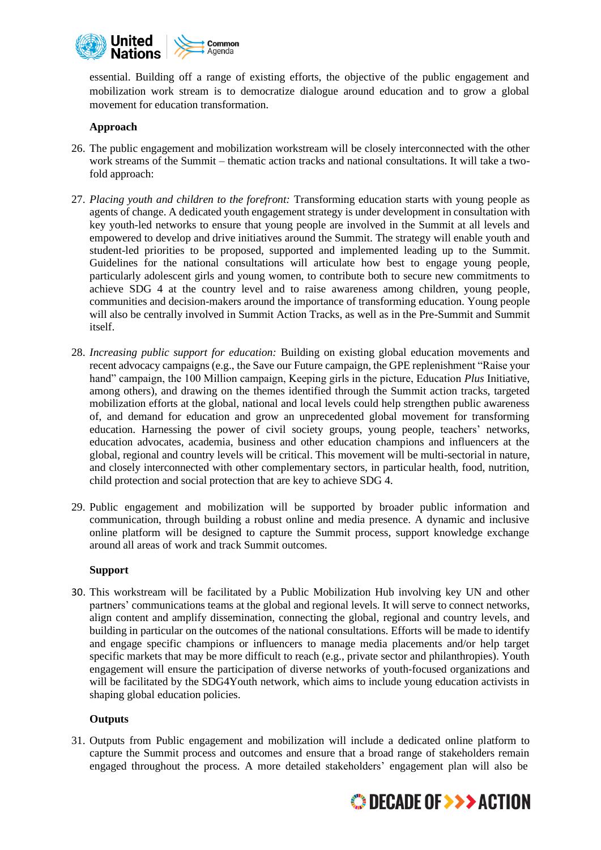

essential. Building off a range of existing efforts, the objective of the public engagement and mobilization work stream is to democratize dialogue around education and to grow a global movement for education transformation.

## **Approach**

- 26. The public engagement and mobilization workstream will be closely interconnected with the other work streams of the Summit – thematic action tracks and national consultations. It will take a twofold approach:
- 27. *Placing youth and children to the forefront:* Transforming education starts with young people as agents of change. A dedicated youth engagement strategy is under development in consultation with key youth-led networks to ensure that young people are involved in the Summit at all levels and empowered to develop and drive initiatives around the Summit. The strategy will enable youth and student-led priorities to be proposed, supported and implemented leading up to the Summit. Guidelines for the national consultations will articulate how best to engage young people, particularly adolescent girls and young women, to contribute both to secure new commitments to achieve SDG 4 at the country level and to raise awareness among children, young people, communities and decision-makers around the importance of transforming education. Young people will also be centrally involved in Summit Action Tracks, as well as in the Pre-Summit and Summit itself.
- 28. *Increasing public support for education:* Building on existing global education movements and recent advocacy campaigns (e.g., the Save our Future campaign, the GPE replenishment "Raise your hand" campaign, the 100 Million campaign, Keeping girls in the picture, Education *Plus* Initiative, among others), and drawing on the themes identified through the Summit action tracks, targeted mobilization efforts at the global, national and local levels could help strengthen public awareness of, and demand for education and grow an unprecedented global movement for transforming education. Harnessing the power of civil society groups, young people, teachers' networks, education advocates, academia, business and other education champions and influencers at the global, regional and country levels will be critical. This movement will be multi-sectorial in nature, and closely interconnected with other complementary sectors, in particular health, food, nutrition, child protection and social protection that are key to achieve SDG 4.
- 29. Public engagement and mobilization will be supported by broader public information and communication, through building a robust online and media presence. A dynamic and inclusive online platform will be designed to capture the Summit process, support knowledge exchange around all areas of work and track Summit outcomes.

#### **Support**

30. This workstream will be facilitated by a Public Mobilization Hub involving key UN and other partners' communications teams at the global and regional levels. It will serve to connect networks, align content and amplify dissemination, connecting the global, regional and country levels, and building in particular on the outcomes of the national consultations. Efforts will be made to identify and engage specific champions or influencers to manage media placements and/or help target specific markets that may be more difficult to reach (e.g., private sector and philanthropies). Youth engagement will ensure the participation of diverse networks of youth-focused organizations and will be facilitated by the SDG4Youth network, which aims to include young education activists in shaping global education policies.

#### **Outputs**

31. Outputs from Public engagement and mobilization will include a dedicated online platform to capture the Summit process and outcomes and ensure that a broad range of stakeholders remain engaged throughout the process. A more detailed stakeholders' engagement plan will also be